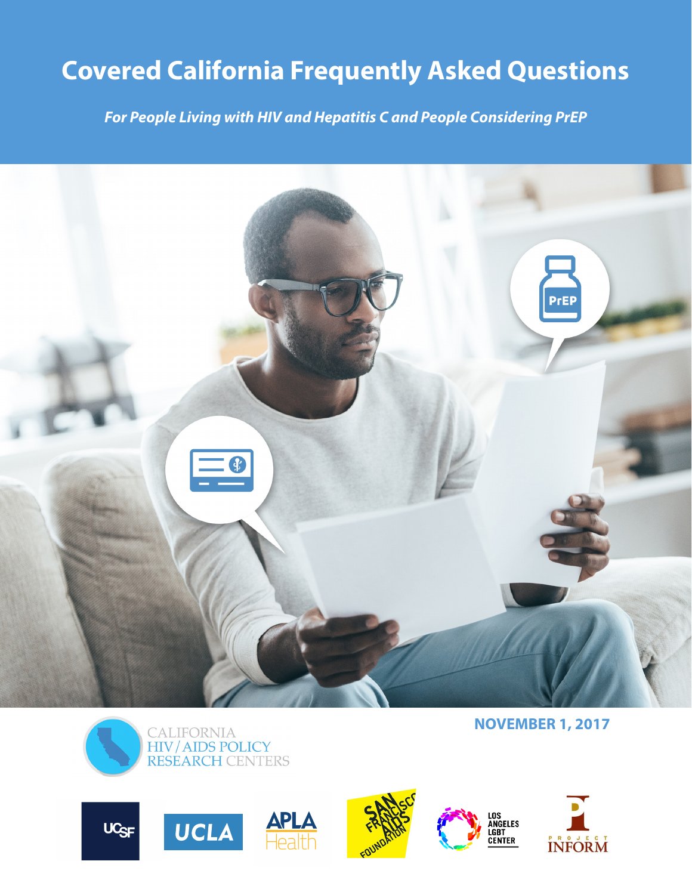# **Covered California Frequently Asked Questions**

*For People Living with HIV and Hepatitis C and People Considering PrEP* 



**NOVEMBER 1, 2017**













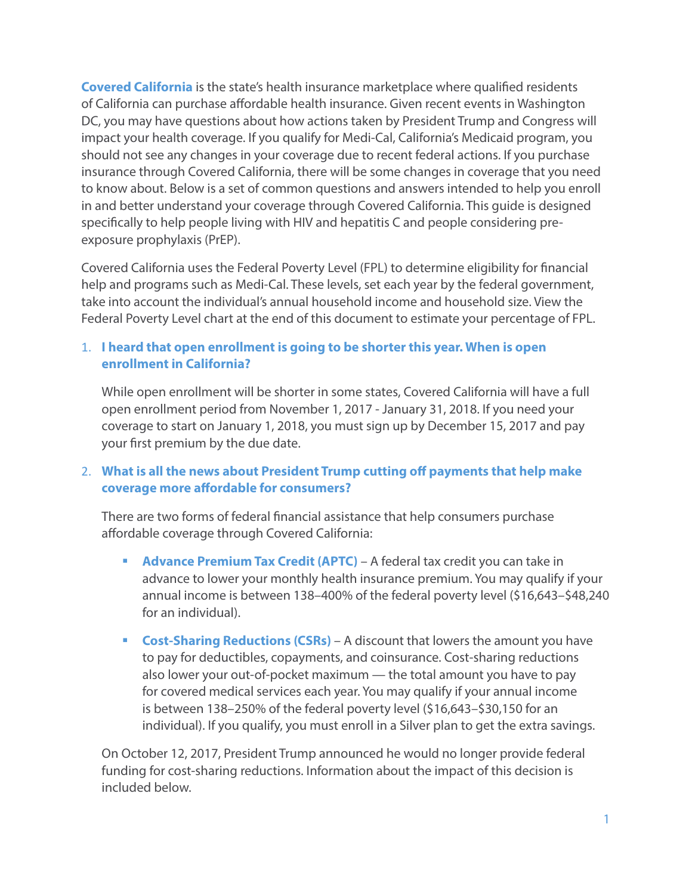**Covered California** is the state's health insurance marketplace where qualified residents of California can purchase affordable health insurance. Given recent events in Washington DC, you may have questions about how actions taken by President Trump and Congress will impact your health coverage. If you qualify for Medi-Cal, California's Medicaid program, you should not see any changes in your coverage due to recent federal actions. If you purchase insurance through Covered California, there will be some changes in coverage that you need to know about. Below is a set of common questions and answers intended to help you enroll in and better understand your coverage through Covered California. This guide is designed specifically to help people living with HIV and hepatitis C and people considering preexposure prophylaxis (PrEP).

Covered California uses the Federal Poverty Level (FPL) to determine eligibility for financial help and programs such as Medi-Cal. These levels, set each year by the federal government, take into account the individual's annual household income and household size. View the Federal Poverty Level chart at the end of this document to estimate your percentage of FPL.

## 1. **I heard that open enrollment is going to be shorter this year. When is open enrollment in California?**

While open enrollment will be shorter in some states, Covered California will have a full open enrollment period from November 1, 2017 - January 31, 2018. If you need your coverage to start on January 1, 2018, you must sign up by December 15, 2017 and pay your first premium by the due date.

## 2. **What is all the news about President Trump cutting off payments that help make coverage more affordable for consumers?**

There are two forms of federal financial assistance that help consumers purchase affordable coverage through Covered California:

- **Advance Premium Tax Credit (APTC)** A federal tax credit you can take in advance to lower your monthly health insurance premium. You may qualify if your annual income is between 138–400% of the federal poverty level (\$16,643–\$48,240 for an individual).
- **Cost-Sharing Reductions (CSRs)** A discount that lowers the amount you have to pay for deductibles, copayments, and coinsurance. Cost-sharing reductions also lower your out-of-pocket maximum — the total amount you have to pay for covered medical services each year. You may qualify if your annual income is between 138–250% of the federal poverty level (\$16,643–\$30,150 for an individual). If you qualify, you must enroll in a Silver plan to get the extra savings.

On October 12, 2017, President Trump announced he would no longer provide federal funding for cost-sharing reductions. Information about the impact of this decision is included below.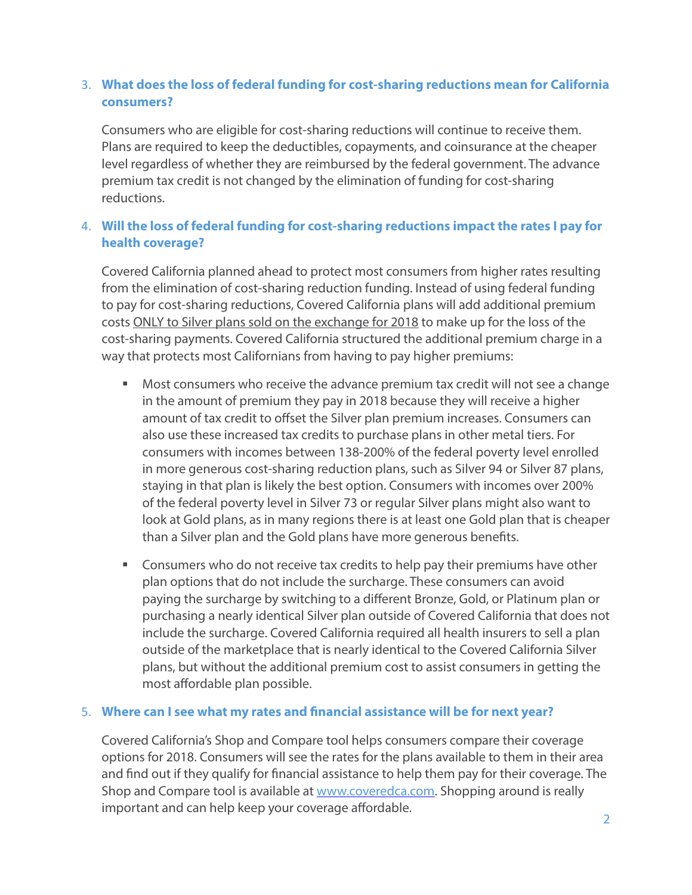# 3. **What does the loss of federal funding for cost-sharing reductions mean for California consumers?**

Consumers who are eligible for cost-sharing reductions will continue to receive them. Plans are required to keep the deductibles, copayments, and coinsurance at the cheaper level regardless of whether they are reimbursed by the federal government. The advance premium tax credit is not changed by the elimination of funding for cost-sharing reductions.

# 4. **Will the loss of federal funding for cost-sharing reductions impact the rates I pay for health coverage?**

Covered California planned ahead to protect most consumers from higher rates resulting from the elimination of cost-sharing reduction funding. Instead of using federal funding to pay for cost-sharing reductions, Covered California plans will add additional premium costs ONLY to Silver plans sold on the exchange for 2018 to make up for the loss of the cost-sharing payments. Covered California structured the additional premium charge in a way that protects most Californians from having to pay higher premiums:

- Most consumers who receive the advance premium tax credit will not see a change in the amount of premium they pay in 2018 because they will receive a higher amount of tax credit to offset the Silver plan premium increases. Consumers can also use these increased tax credits to purchase plans in other metal tiers. For consumers with incomes between 138-200% of the federal poverty level enrolled in more generous cost-sharing reduction plans, such as Silver 94 or Silver 87 plans, staying in that plan is likely the best option. Consumers with incomes over 200% of the federal poverty level in Silver 73 or regular Silver plans might also want to look at Gold plans, as in many regions there is at least one Gold plan that is cheaper than a Silver plan and the Gold plans have more generous benefits.
- **EXP** Consumers who do not receive tax credits to help pay their premiums have other plan options that do not include the surcharge. These consumers can avoid paying the surcharge by switching to a different Bronze, Gold, or Platinum plan or purchasing a nearly identical Silver plan outside of Covered California that does not include the surcharge. Covered California required all health insurers to sell a plan outside of the marketplace that is nearly identical to the Covered California Silver plans, but without the additional premium cost to assist consumers in getting the most affordable plan possible.

#### 5. **Where can I see what my rates and financial assistance will be for next year?**

Covered California's Shop and Compare tool helps consumers compare their coverage options for 2018. Consumers will see the rates for the plans available to them in their area and find out if they qualify for financial assistance to help them pay for their coverage. The Shop and Compare tool is available at [www.coveredca.com.](http://www.coveredca.com) Shopping around is really important and can help keep your coverage affordable.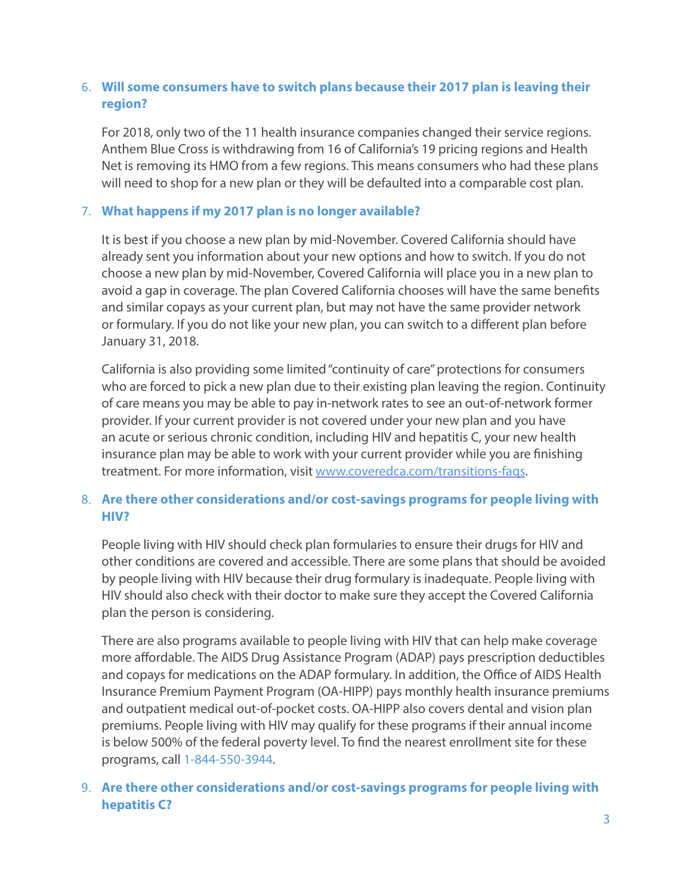# 6. **Will some consumers have to switch plans because their 2017 plan is leaving their region?**

For 2018, only two of the 11 health insurance companies changed their service regions. Anthem Blue Cross is withdrawing from 16 of California's 19 pricing regions and Health Net is removing its HMO from a few regions. This means consumers who had these plans will need to shop for a new plan or they will be defaulted into a comparable cost plan.

#### 7. **What happens if my 2017 plan is no longer available?**

It is best if you choose a new plan by mid-November. Covered California should have already sent you information about [your new options and how to switch](https://www.coveredca.com/transitions-faqs/). If you do not choose a new plan by mid-November, Covered California will place you in a new plan to avoid a gap in coverage. The plan Covered California chooses will have the same benefits and similar copays as your current plan, but may not have the same provider network or formulary. If you do not like your new plan, you can switch to a different plan before January 31, 2018.

California is also providing some limited "continuity of care" protections for consumers who are forced to pick a new plan due to their existing plan leaving the region. Continuity of care means you may be able to pay in-network rates to see an out-of-network former provider. If your current provider is not covered under your new plan and you have an acute or serious chronic condition, including HIV and hepatitis C, your new health insurance plan may be able to work with your current provider while you are finishing treatment. For more information, visit [www.coveredca.com/transitions-faqs.](http://www.coveredca.com/transitions-faqs/)

# 8. **Are there other considerations and/or cost-savings programs for people living with HIV?**

People living with HIV should check plan formularies to ensure their drugs for HIV and other conditions are covered and accessible. There are some plans that should be avoided by people living with HIV because their drug formulary is inadequate. People living with HIV should also check with their doctor to make sure they accept the Covered California plan the person is considering.

There are also programs available to people living with HIV that can help make coverage more affordable. The AIDS Drug Assistance Program (ADAP) pays prescription deductibles and copays for medications on the ADAP formulary. In addition, the Office of AIDS Health Insurance Premium Payment Program (OA-HIPP) pays monthly health insurance premiums and outpatient medical out-of-pocket costs. OA-HIPP also covers dental and vision plan premiums. People living with HIV may qualify for these programs if their annual income is below 500% of the federal poverty level. To find the nearest enrollment site for these programs, call 1-844-550-3944.

## 9. **Are there other considerations and/or cost-savings programs for people living with hepatitis C?**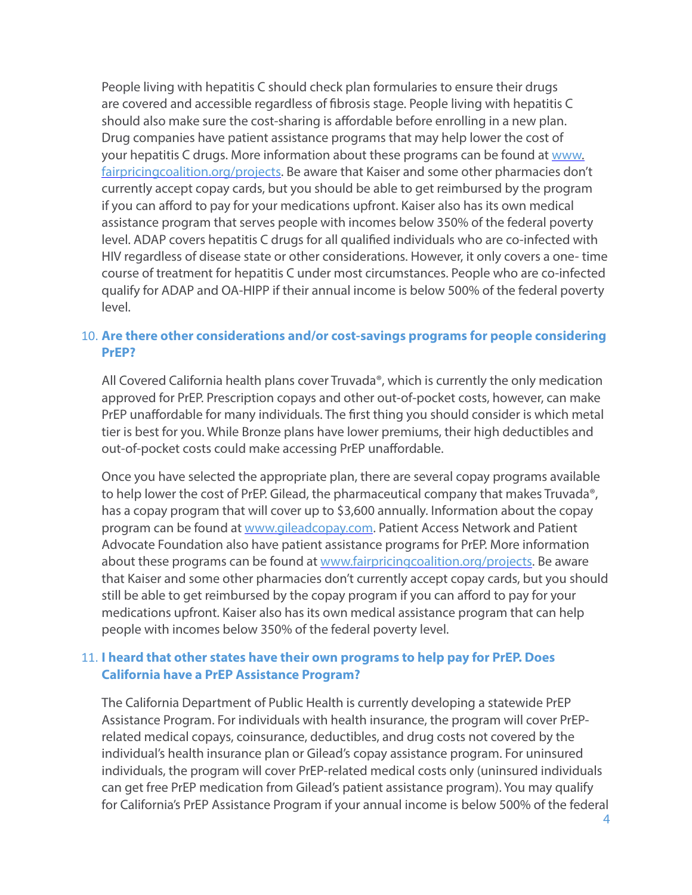People living with hepatitis C should check plan formularies to ensure their drugs are covered and accessible regardless of fibrosis stage. People living with hepatitis C should also make sure the cost-sharing is affordable before enrolling in a new plan. Drug companies have patient assistance programs that may help lower the cost of your hepatitis C drugs. More information about these programs can be found at [www.](http://www.fairpricingcoalition.org/projects) [fairpricingcoalition.org/projects.](http://www.fairpricingcoalition.org/projects) Be aware that Kaiser and some other pharmacies don't currently accept copay cards, but you should be able to get reimbursed by the program if you can afford to pay for your medications upfront. Kaiser also has its own medical assistance program that serves people with incomes below 350% of the federal poverty level. ADAP covers hepatitis C drugs for all qualified individuals who are co-infected with HIV regardless of disease state or other considerations. However, it only covers a one- time course of treatment for hepatitis C under most circumstances. People who are co-infected qualify for ADAP and OA-HIPP if their annual income is below 500% of the federal poverty level.

#### 10. **Are there other considerations and/or cost-savings programs for people considering PrEP?**

All Covered California health plans cover Truvada®, which is currently the only medication approved for PrEP. Prescription copays and other out-of-pocket costs, however, can make PrEP unaffordable for many individuals. The first thing you should consider is which metal tier is best for you. While Bronze plans have lower premiums, their high deductibles and out-of-pocket costs could make accessing PrEP unaffordable.

Once you have selected the appropriate plan, there are several copay programs available to help lower the cost of PrEP. Gilead, the pharmaceutical company that makes Truvada®, has a copay program that will cover up to \$3,600 annually. Information about the copay program can be found at [www.gileadcopay.com](http://www.gileadcopay.com). Patient Access Network and Patient Advocate Foundation also have patient assistance programs for PrEP. More information about these programs can be found at [www.fairpricingcoalition.org/projects.](http://www.fairpricingcoalition.org/projects) Be aware that Kaiser and some other pharmacies don't currently accept copay cards, but you should still be able to get reimbursed by the copay program if you can afford to pay for your medications upfront. Kaiser also has its own medical assistance program that can help people with incomes below 350% of the federal poverty level.

## 11. **I heard that other states have their own programs to help pay for PrEP. Does California have a PrEP Assistance Program?**

The California Department of Public Health is currently developing a statewide PrEP Assistance Program. For individuals with health insurance, the program will cover PrEPrelated medical copays, coinsurance, deductibles, and drug costs not covered by the individual's health insurance plan or Gilead's copay assistance program. For uninsured individuals, the program will cover PrEP-related medical costs only (uninsured individuals can get free PrEP medication from Gilead's patient assistance program). You may qualify for California's PrEP Assistance Program if your annual income is below 500% of the federal